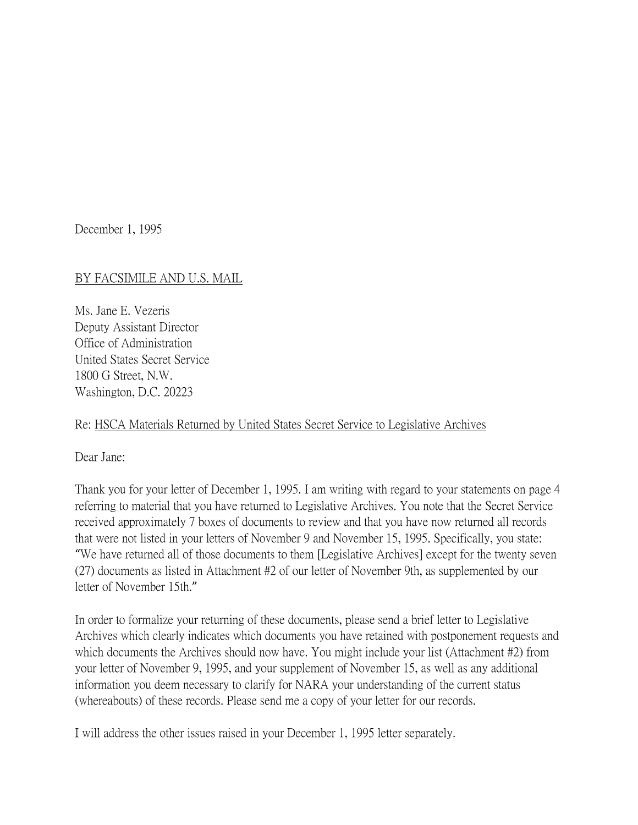December 1, 1995

## BY FACSIMILE AND U.S. MAIL

Ms. Jane E. Vezeris Deputy Assistant Director Office of Administration United States Secret Service 1800 G Street, N.W. Washington, D.C. 20223

## Re: HSCA Materials Returned by United States Secret Service to Legislative Archives

Dear Jane:

Thank you for your letter of December 1, 1995. I am writing with regard to your statements on page 4 referring to material that you have returned to Legislative Archives. You note that the Secret Service received approximately 7 boxes of documents to review and that you have now returned all records that were not listed in your letters of November 9 and November 15, 1995. Specifically, you state: "We have returned all of those documents to them [Legislative Archives] except for the twenty seven (27) documents as listed in Attachment #2 of our letter of November 9th, as supplemented by our letter of November 15th."

In order to formalize your returning of these documents, please send a brief letter to Legislative Archives which clearly indicates which documents you have retained with postponement requests and which documents the Archives should now have. You might include your list (Attachment #2) from your letter of November 9, 1995, and your supplement of November 15, as well as any additional information you deem necessary to clarify for NARA your understanding of the current status (whereabouts) of these records. Please send me a copy of your letter for our records.

I will address the other issues raised in your December 1, 1995 letter separately.